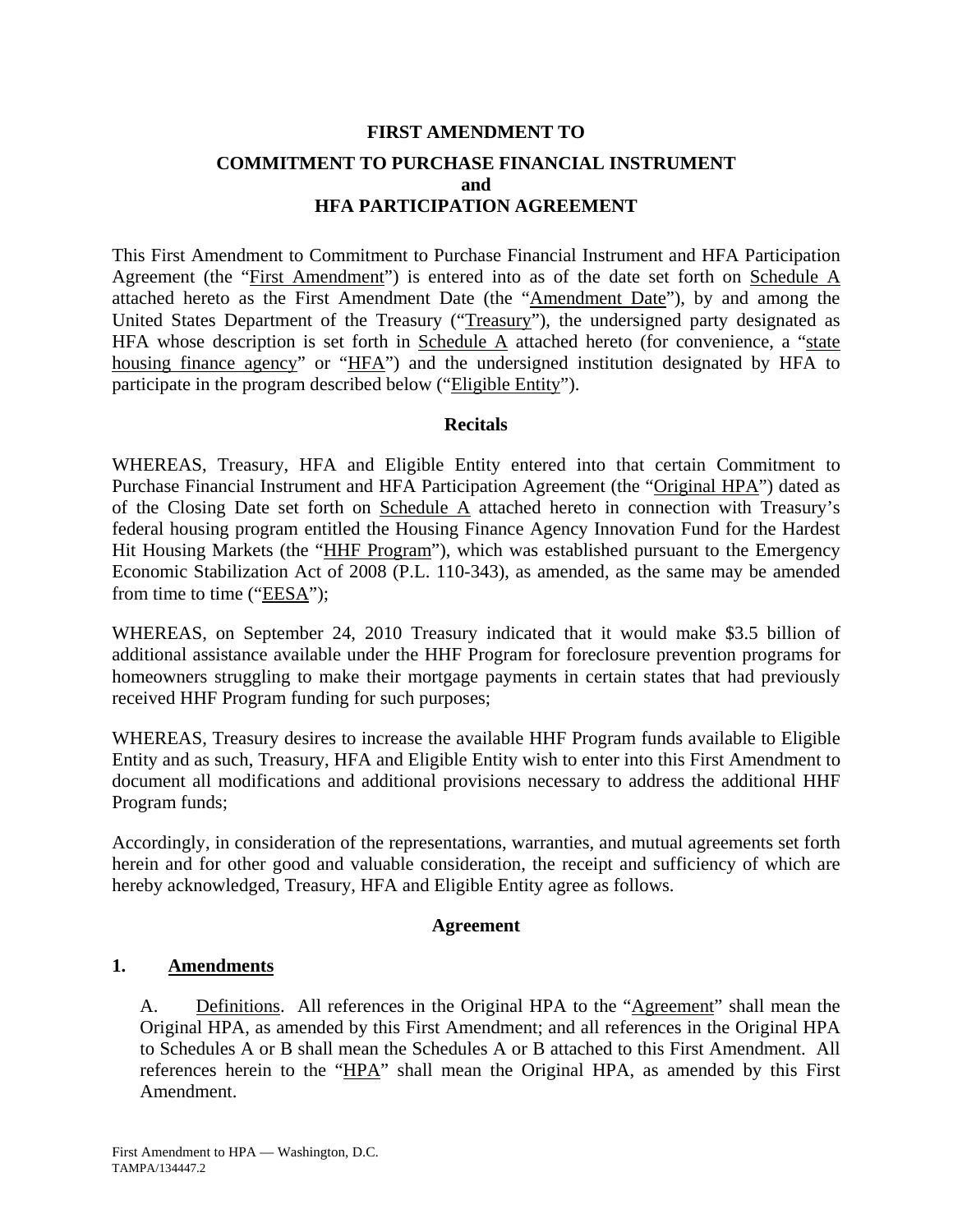# **FIRST AMENDMENT TO COMMITMENT TO PURCHASE FINANCIAL INSTRUMENT and HFA PARTICIPATION AGREEMENT**

This First Amendment to Commitment to Purchase Financial Instrument and HFA Participation Agreement (the "First Amendment") is entered into as of the date set forth on Schedule A attached hereto as the First Amendment Date (the "Amendment Date"), by and among the United States Department of the Treasury ("Treasury"), the undersigned party designated as HFA whose description is set forth in Schedule  $\overline{A}$  attached hereto (for convenience, a "state housing finance agency" or "HFA") and the undersigned institution designated by HFA to participate in the program described below ("Eligible Entity").

## **Recitals**

WHEREAS, Treasury, HFA and Eligible Entity entered into that certain Commitment to Purchase Financial Instrument and HFA Participation Agreement (the "Original HPA") dated as of the Closing Date set forth on Schedule A attached hereto in connection with Treasury's federal housing program entitled the Housing Finance Agency Innovation Fund for the Hardest Hit Housing Markets (the "HHF Program"), which was established pursuant to the Emergency Economic Stabilization Act of 2008 (P.L. 110-343), as amended, as the same may be amended from time to time (" $EESA$ ");

WHEREAS, on September 24, 2010 Treasury indicated that it would make \$3.5 billion of additional assistance available under the HHF Program for foreclosure prevention programs for homeowners struggling to make their mortgage payments in certain states that had previously received HHF Program funding for such purposes;

WHEREAS, Treasury desires to increase the available HHF Program funds available to Eligible Entity and as such, Treasury, HFA and Eligible Entity wish to enter into this First Amendment to document all modifications and additional provisions necessary to address the additional HHF Program funds;

Accordingly, in consideration of the representations, warranties, and mutual agreements set forth herein and for other good and valuable consideration, the receipt and sufficiency of which are hereby acknowledged, Treasury, HFA and Eligible Entity agree as follows.

## **Agreement**

## **1. Amendments**

A. Definitions. All references in the Original HPA to the "Agreement" shall mean the Original HPA, as amended by this First Amendment; and all references in the Original HPA to Schedules A or B shall mean the Schedules A or B attached to this First Amendment. All references herein to the "HPA" shall mean the Original HPA, as amended by this First Amendment.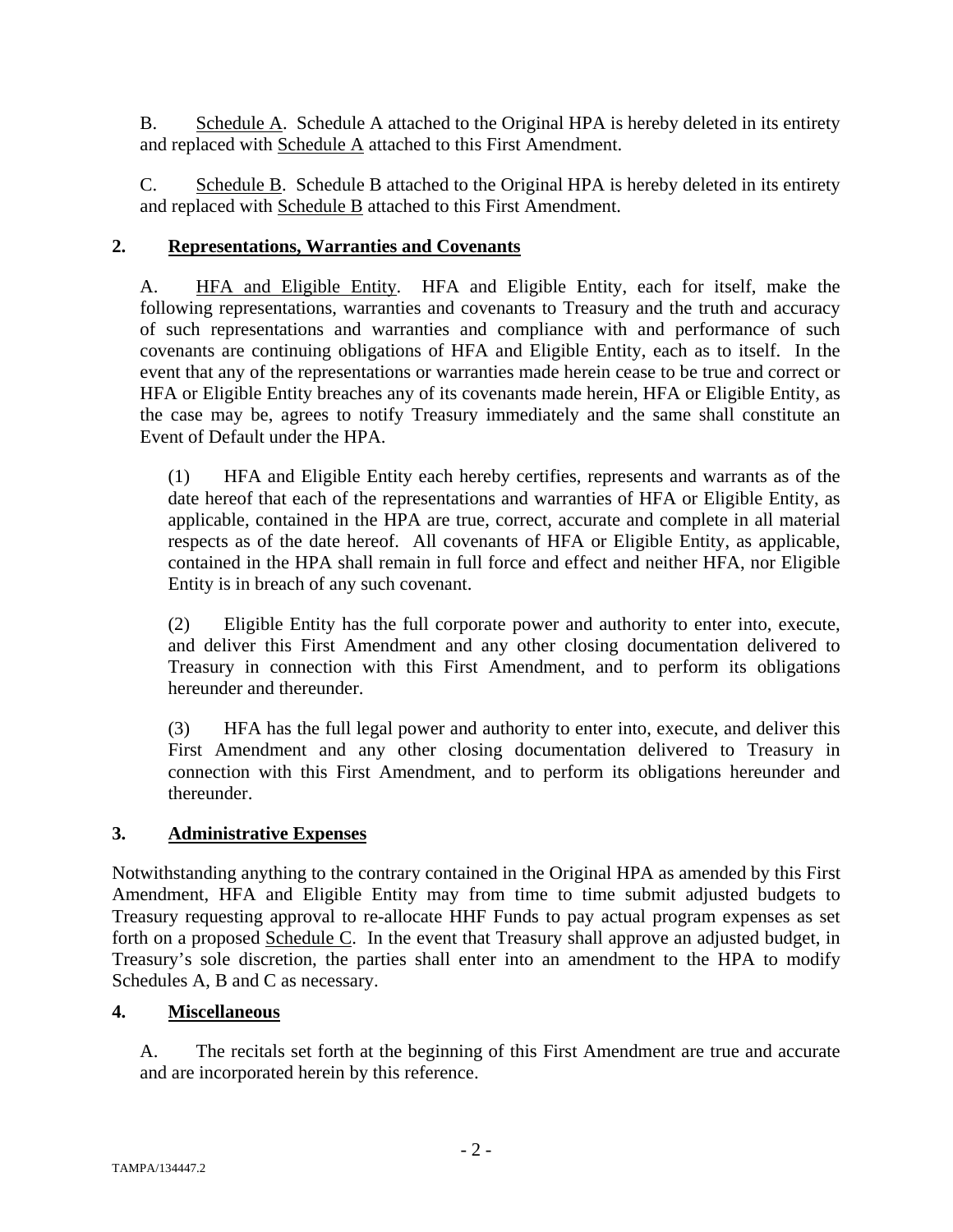B. Schedule A. Schedule A attached to the Original HPA is hereby deleted in its entirety and replaced with Schedule A attached to this First Amendment.

C. Schedule B. Schedule B attached to the Original HPA is hereby deleted in its entirety and replaced with **Schedule B** attached to this First Amendment.

## **2. Representations, Warranties and Covenants**

A. HFA and Eligible Entity. HFA and Eligible Entity, each for itself, make the following representations, warranties and covenants to Treasury and the truth and accuracy of such representations and warranties and compliance with and performance of such covenants are continuing obligations of HFA and Eligible Entity, each as to itself. In the event that any of the representations or warranties made herein cease to be true and correct or HFA or Eligible Entity breaches any of its covenants made herein, HFA or Eligible Entity, as the case may be, agrees to notify Treasury immediately and the same shall constitute an Event of Default under the HPA.

(1) HFA and Eligible Entity each hereby certifies, represents and warrants as of the date hereof that each of the representations and warranties of HFA or Eligible Entity, as applicable, contained in the HPA are true, correct, accurate and complete in all material respects as of the date hereof. All covenants of HFA or Eligible Entity, as applicable, contained in the HPA shall remain in full force and effect and neither HFA, nor Eligible Entity is in breach of any such covenant.

(2) Eligible Entity has the full corporate power and authority to enter into, execute, and deliver this First Amendment and any other closing documentation delivered to Treasury in connection with this First Amendment, and to perform its obligations hereunder and thereunder.

(3) HFA has the full legal power and authority to enter into, execute, and deliver this First Amendment and any other closing documentation delivered to Treasury in connection with this First Amendment, and to perform its obligations hereunder and thereunder.

## **3. Administrative Expenses**

Notwithstanding anything to the contrary contained in the Original HPA as amended by this First Amendment, HFA and Eligible Entity may from time to time submit adjusted budgets to Treasury requesting approval to re-allocate HHF Funds to pay actual program expenses as set forth on a proposed Schedule C. In the event that Treasury shall approve an adjusted budget, in Treasury's sole discretion, the parties shall enter into an amendment to the HPA to modify Schedules A, B and C as necessary.

## **4. Miscellaneous**

A. The recitals set forth at the beginning of this First Amendment are true and accurate and are incorporated herein by this reference.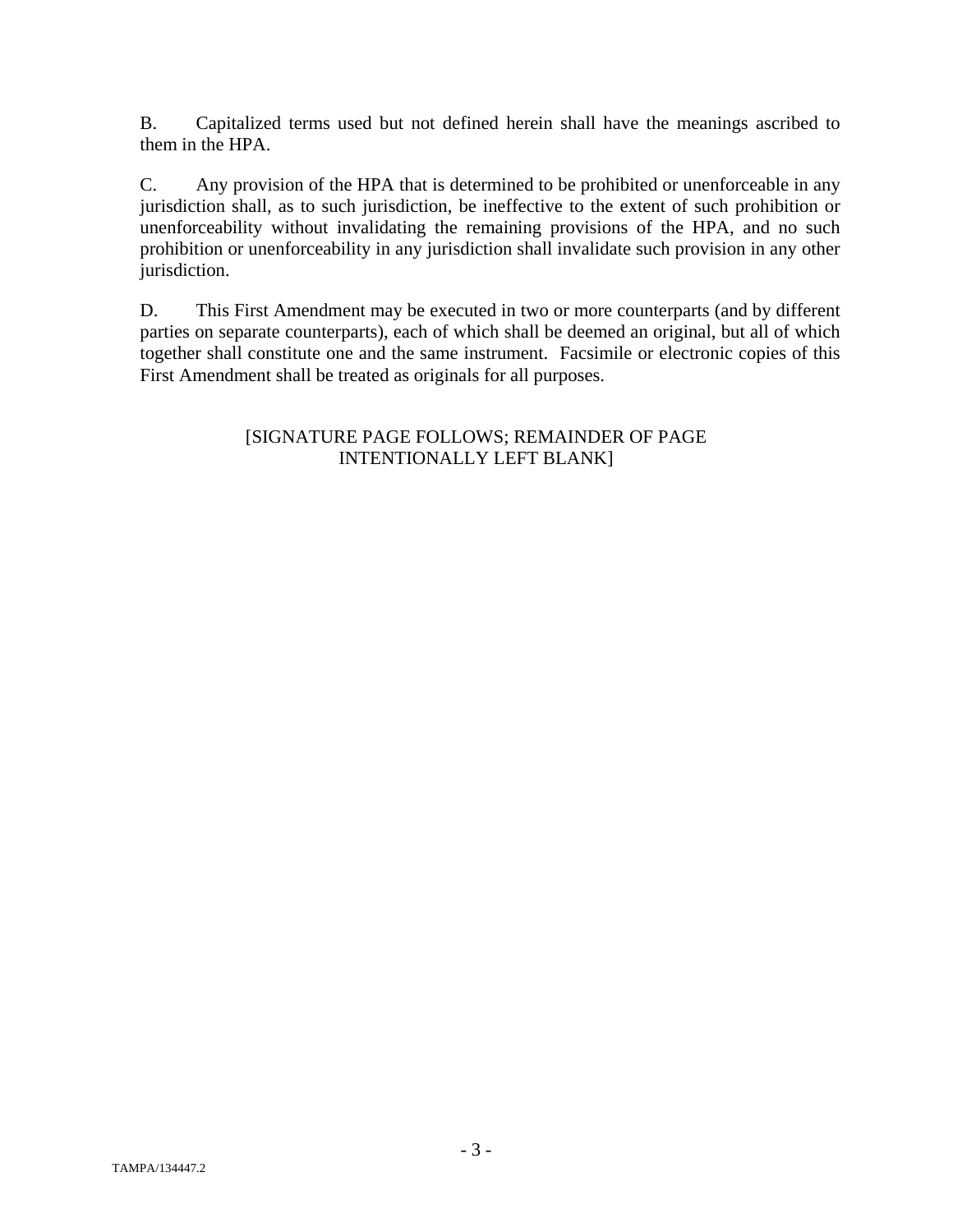B. Capitalized terms used but not defined herein shall have the meanings ascribed to them in the HPA.

C. Any provision of the HPA that is determined to be prohibited or unenforceable in any jurisdiction shall, as to such jurisdiction, be ineffective to the extent of such prohibition or unenforceability without invalidating the remaining provisions of the HPA, and no such prohibition or unenforceability in any jurisdiction shall invalidate such provision in any other jurisdiction.

D. This First Amendment may be executed in two or more counterparts (and by different parties on separate counterparts), each of which shall be deemed an original, but all of which together shall constitute one and the same instrument. Facsimile or electronic copies of this First Amendment shall be treated as originals for all purposes.

## [SIGNATURE PAGE FOLLOWS; REMAINDER OF PAGE INTENTIONALLY LEFT BLANK]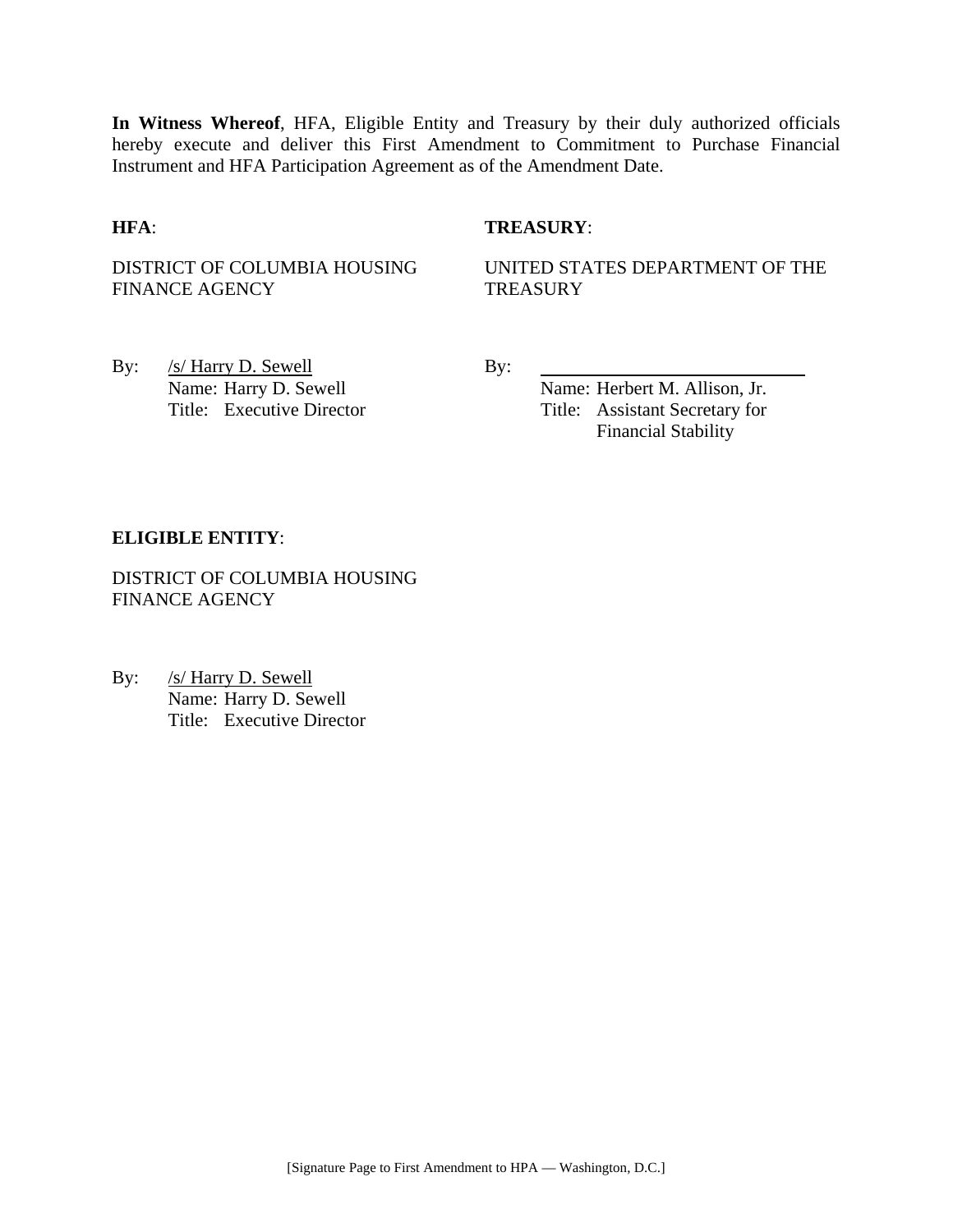**In Witness Whereof**, HFA, Eligible Entity and Treasury by their duly authorized officials hereby execute and deliver this First Amendment to Commitment to Purchase Financial Instrument and HFA Participation Agreement as of the Amendment Date.

## **HFA**: **TREASURY**:

DISTRICT OF COLUMBIA HOUSING FINANCE AGENCY

UNITED STATES DEPARTMENT OF THE **TREASURY** 

By: <u>/s/ Harry D. Sewell</u> By: Name: Harry D. Sewell By:

Name: Herbert M. Allison, Jr. Title: Executive Director Title: Assistant Secretary for Financial Stability

#### **ELIGIBLE ENTITY**:

DISTRICT OF COLUMBIA HOUSING FINANCE AGENCY

By: /s/ Harry D. Sewell Name: Harry D. Sewell Title: Executive Director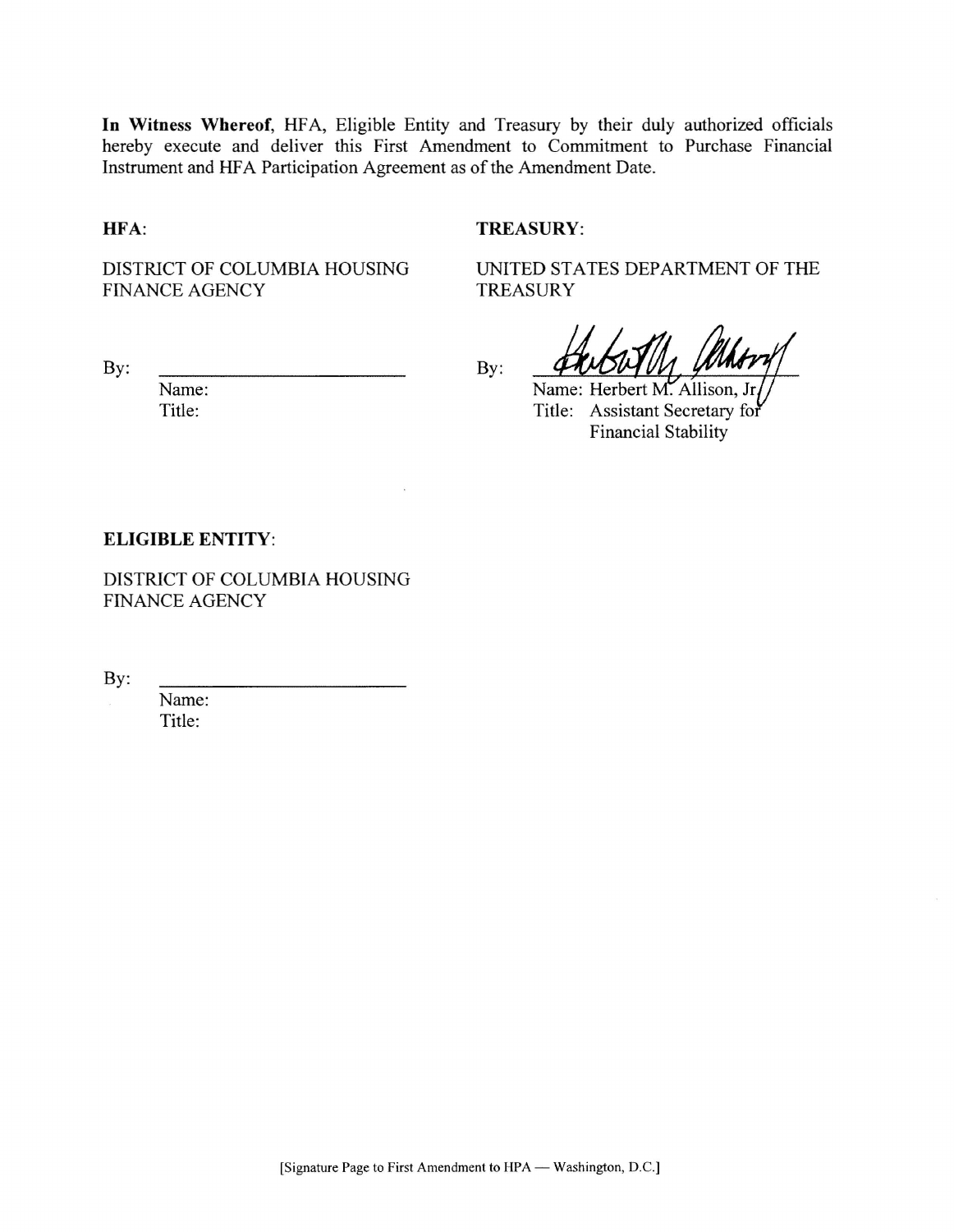In Witness Whereof, HFA, Eligible Entity and Treasury by their duly authorized officials hereby execute and deliver this First Amendment to Commitment to Purchase Financial Instrument and HFA Participation Agreement as of the Amendment Date.

HFA:

## **TREASURY:**

**TREASURY** 

By:

DISTRICT OF COLUMBIA HOUSING **FINANCE AGENCY** 

UNITED STATES DEPARTMENT OF THE

Name: Herbert M. Allison, Title: Assistant Secretary for **Financial Stability** 

By:

Name: Title:

### **ELIGIBLE ENTITY:**

DISTRICT OF COLUMBIA HOUSING FINANCE AGENCY

By:

Name: Title: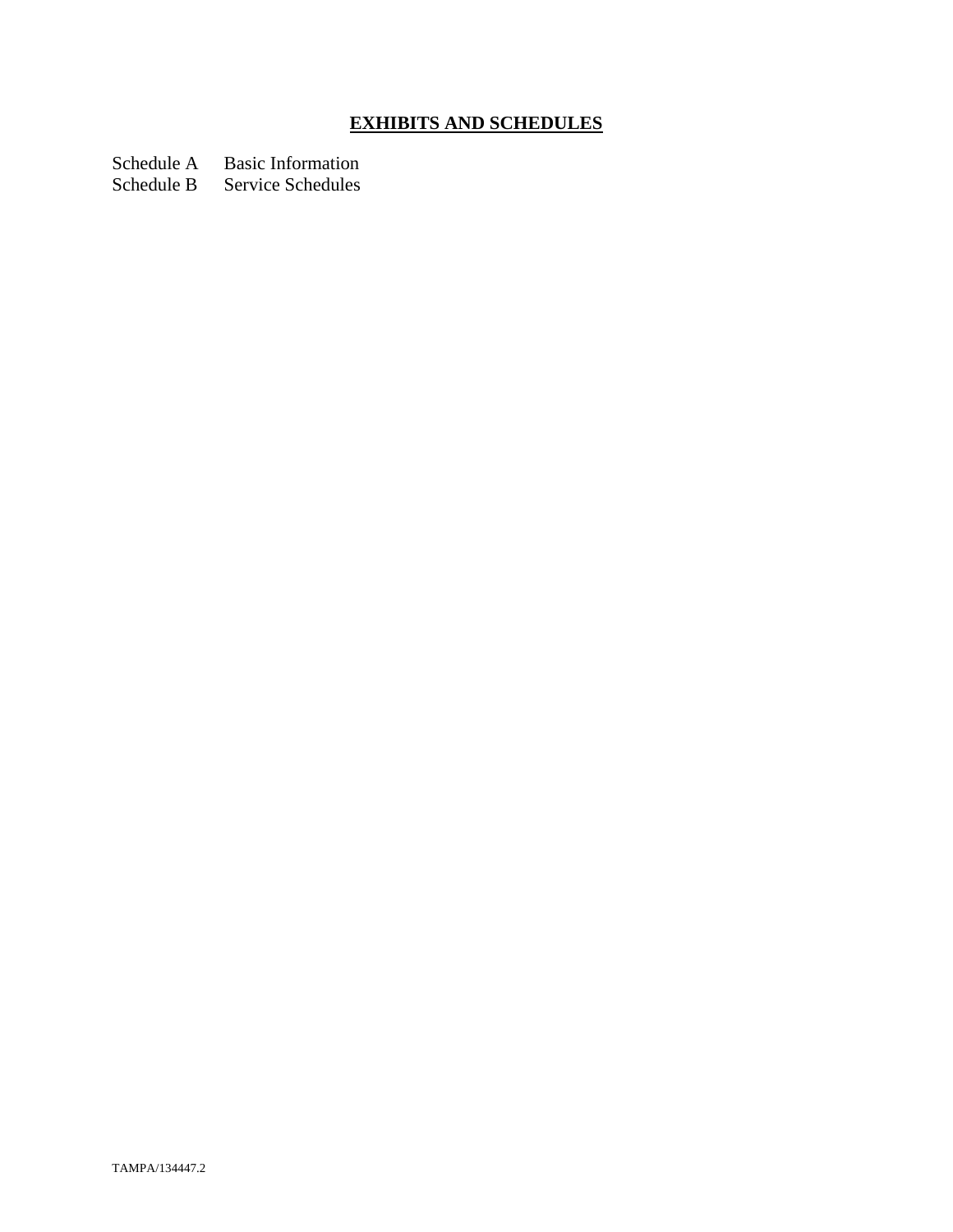# **EXHIBITS AND SCHEDULES**

Schedule A Basic Information<br>Schedule B Service Schedules

Service Schedules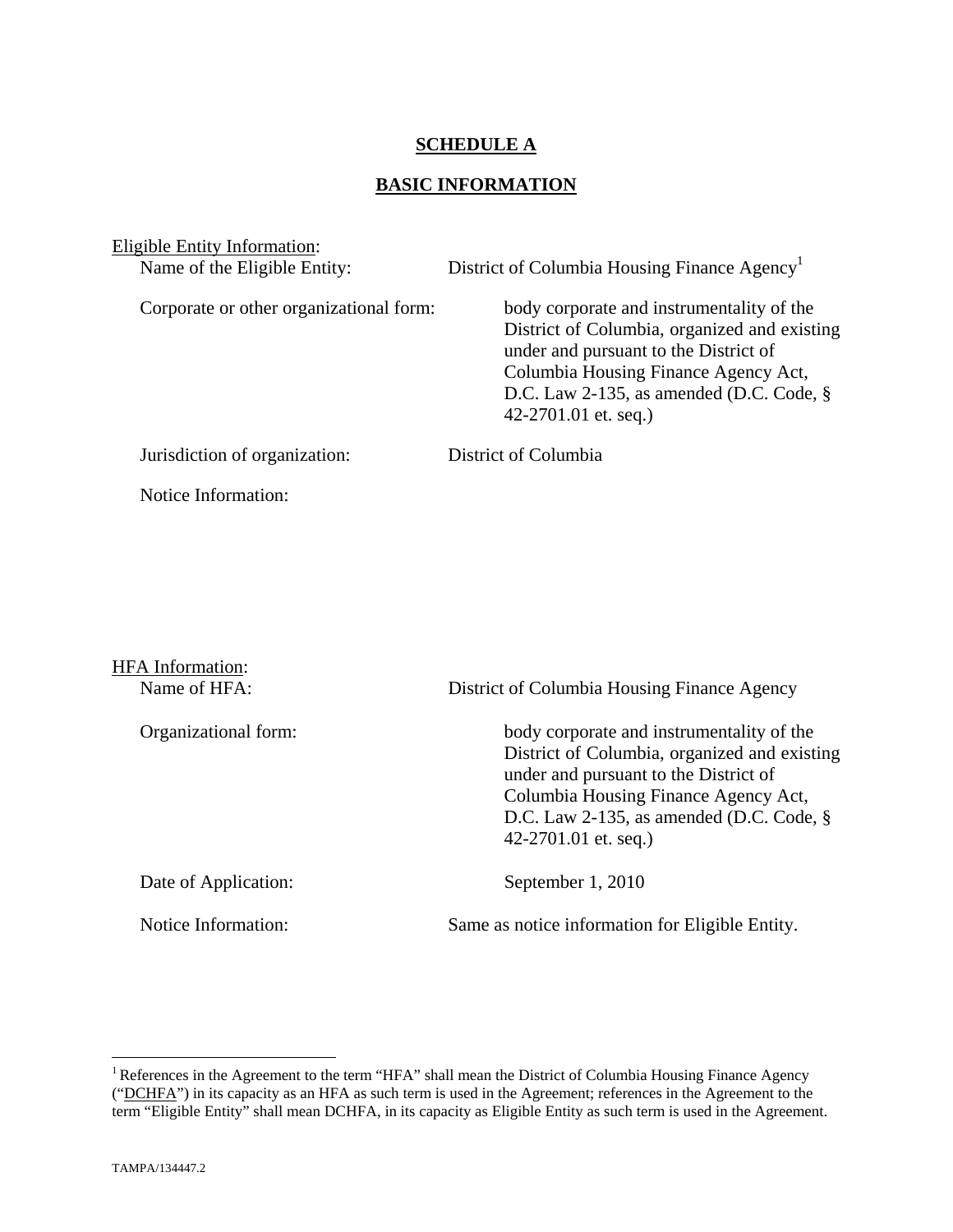## **SCHEDULE A**

## **BASIC INFORMATION**

| Eligible Entity Information:<br>Name of the Eligible Entity: | District of Columbia Housing Finance Agency <sup>1</sup>                                                                                                                                                                                          |
|--------------------------------------------------------------|---------------------------------------------------------------------------------------------------------------------------------------------------------------------------------------------------------------------------------------------------|
| Corporate or other organizational form:                      | body corporate and instrumentality of the<br>District of Columbia, organized and existing<br>under and pursuant to the District of<br>Columbia Housing Finance Agency Act,<br>D.C. Law 2-135, as amended (D.C. Code, $\S$<br>42-2701.01 et. seq.) |
| Jurisdiction of organization:                                | District of Columbia                                                                                                                                                                                                                              |
| Notice Information:                                          |                                                                                                                                                                                                                                                   |

| <b>HFA</b> Information:<br>Name of HFA: | District of Columbia Housing Finance Agency                                                                                                                                                                                                       |
|-----------------------------------------|---------------------------------------------------------------------------------------------------------------------------------------------------------------------------------------------------------------------------------------------------|
| Organizational form:                    | body corporate and instrumentality of the<br>District of Columbia, organized and existing<br>under and pursuant to the District of<br>Columbia Housing Finance Agency Act,<br>D.C. Law 2-135, as amended (D.C. Code, $\S$<br>42-2701.01 et. seq.) |
| Date of Application:                    | September 1, 2010                                                                                                                                                                                                                                 |
| Notice Information:                     | Same as notice information for Eligible Entity.                                                                                                                                                                                                   |

 $\overline{a}$ 

<sup>&</sup>lt;sup>1</sup> References in the Agreement to the term "HFA" shall mean the District of Columbia Housing Finance Agency ("DCHFA") in its capacity as an HFA as such term is used in the Agreement; references in the Agreement to the term "Eligible Entity" shall mean DCHFA, in its capacity as Eligible Entity as such term is used in the Agreement.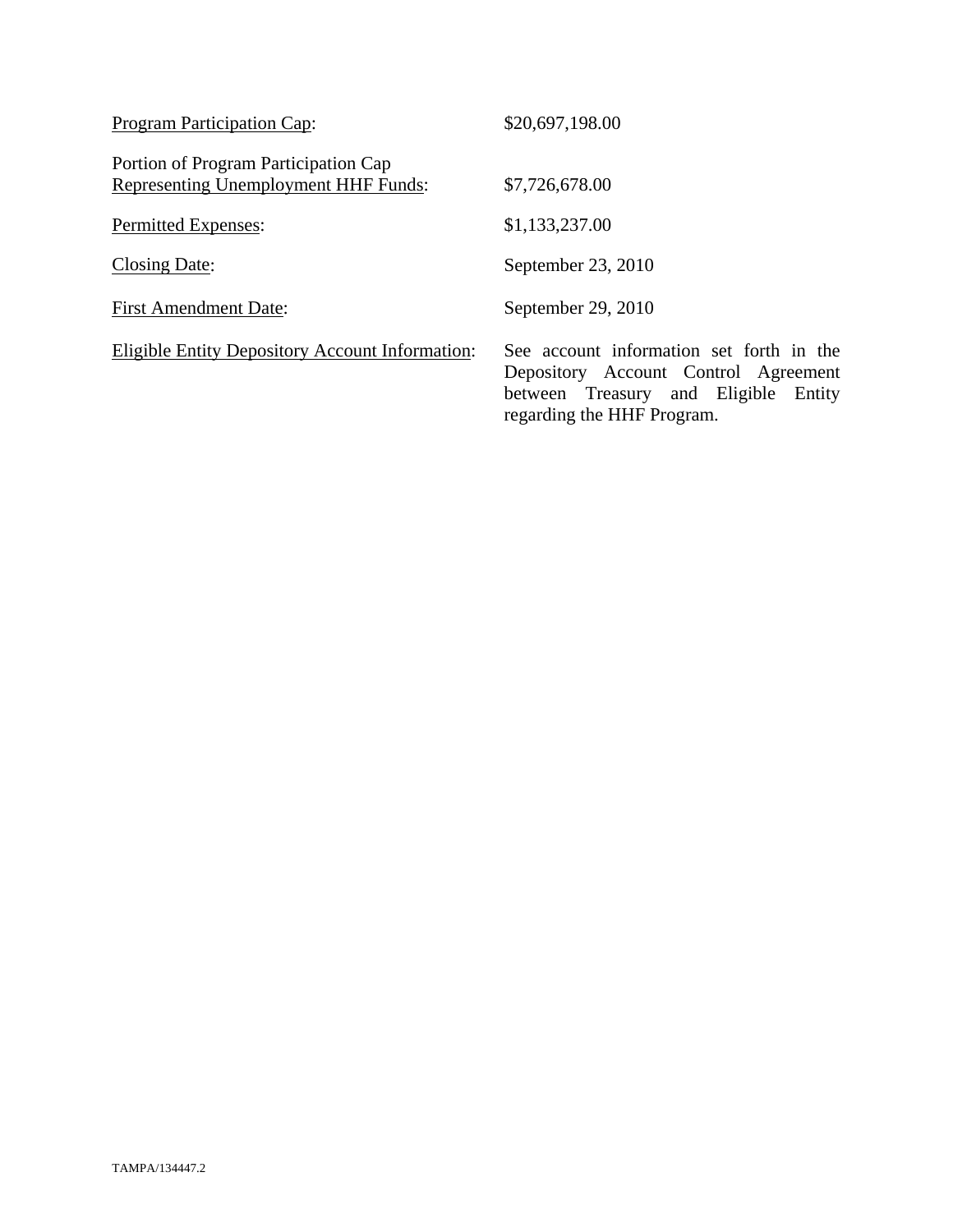| <b>Program Participation Cap:</b>                                                   | \$20,697,198.00                                                                                                                                           |
|-------------------------------------------------------------------------------------|-----------------------------------------------------------------------------------------------------------------------------------------------------------|
| Portion of Program Participation Cap<br><b>Representing Unemployment HHF Funds:</b> | \$7,726,678.00                                                                                                                                            |
| <b>Permitted Expenses:</b>                                                          | \$1,133,237.00                                                                                                                                            |
| Closing Date:                                                                       | September 23, 2010                                                                                                                                        |
| <b>First Amendment Date:</b>                                                        | September 29, 2010                                                                                                                                        |
| <b>Eligible Entity Depository Account Information:</b>                              | See account information set forth in the<br>Depository Account Control Agreement<br>between Treasury and Eligible<br>Entity<br>regarding the HHF Program. |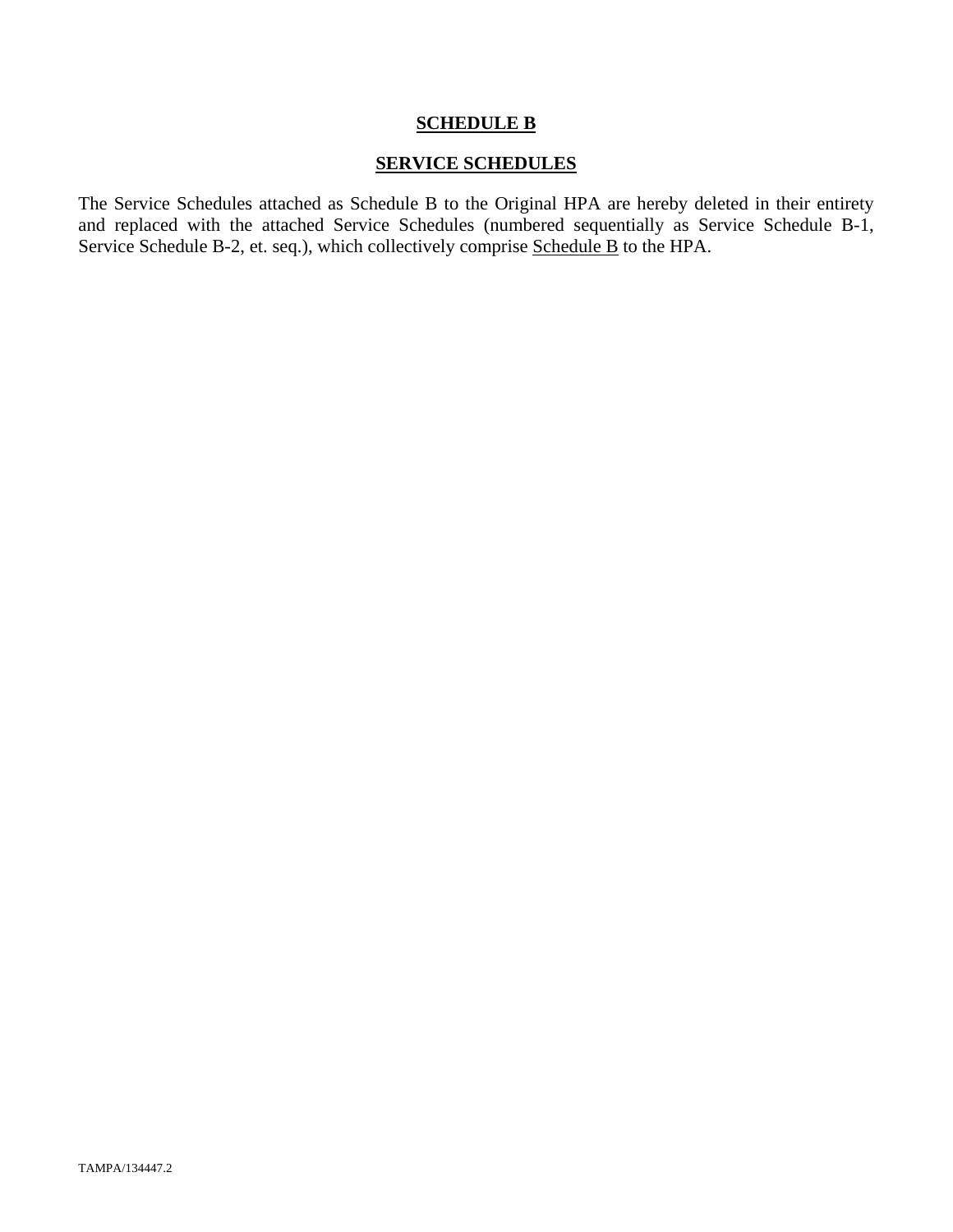## **SCHEDULE B**

## **SERVICE SCHEDULES**

The Service Schedules attached as Schedule B to the Original HPA are hereby deleted in their entirety and replaced with the attached Service Schedules (numbered sequentially as Service Schedule B-1, Service Schedule B-2, et. seq.), which collectively comprise Schedule B to the HPA.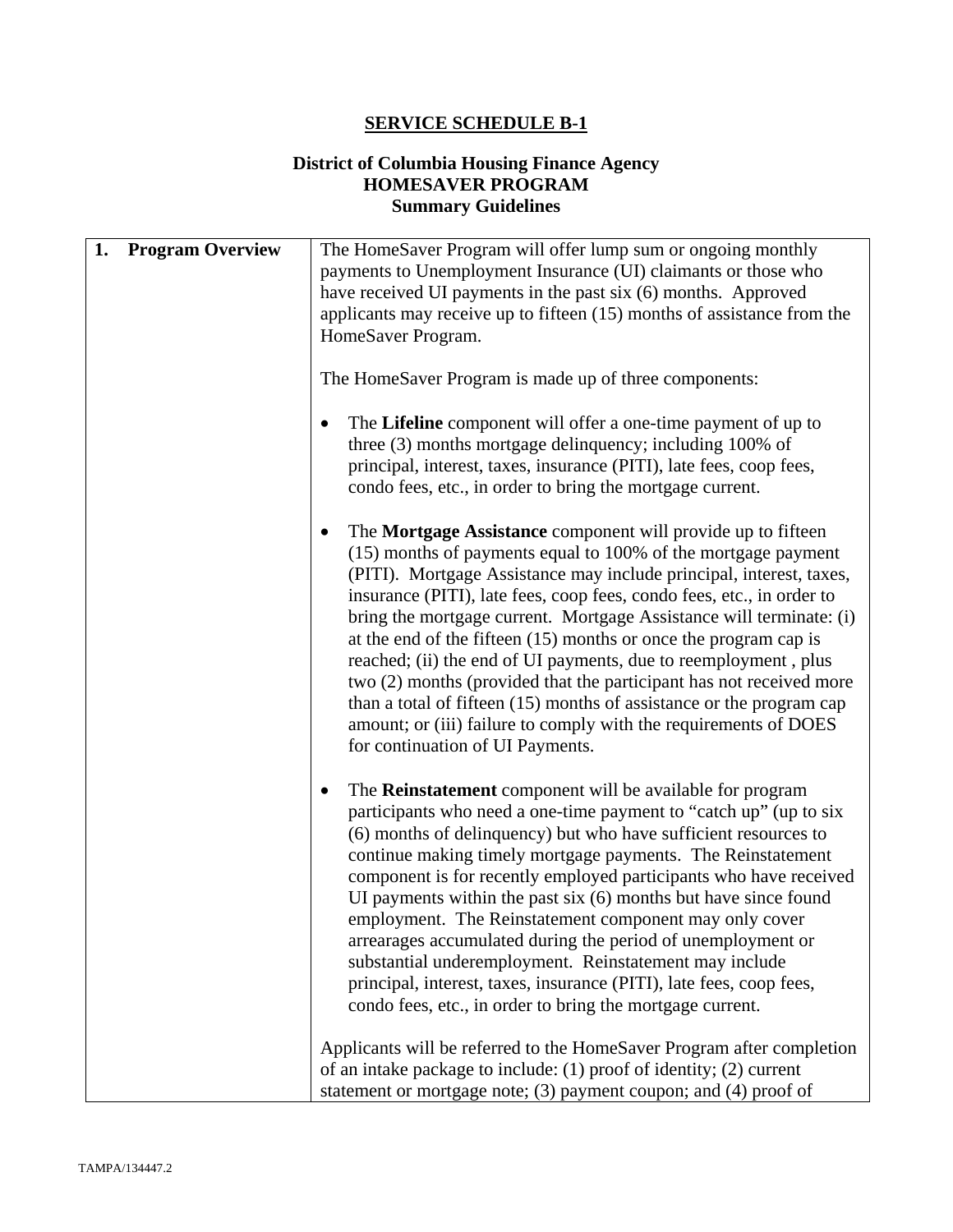## **SERVICE SCHEDULE B-1**

## **District of Columbia Housing Finance Agency HOMESAVER PROGRAM Summary Guidelines**

| <b>Program Overview</b><br>1. | The HomeSaver Program will offer lump sum or ongoing monthly<br>payments to Unemployment Insurance (UI) claimants or those who<br>have received UI payments in the past six (6) months. Approved<br>applicants may receive up to fifteen $(15)$ months of assistance from the<br>HomeSaver Program.                                                                                                                                                                                                                                                                                                                                                                                                                                                    |
|-------------------------------|--------------------------------------------------------------------------------------------------------------------------------------------------------------------------------------------------------------------------------------------------------------------------------------------------------------------------------------------------------------------------------------------------------------------------------------------------------------------------------------------------------------------------------------------------------------------------------------------------------------------------------------------------------------------------------------------------------------------------------------------------------|
|                               | The HomeSaver Program is made up of three components:                                                                                                                                                                                                                                                                                                                                                                                                                                                                                                                                                                                                                                                                                                  |
|                               | The Lifeline component will offer a one-time payment of up to<br>three (3) months mortgage delinquency; including 100% of<br>principal, interest, taxes, insurance (PITI), late fees, coop fees,<br>condo fees, etc., in order to bring the mortgage current.                                                                                                                                                                                                                                                                                                                                                                                                                                                                                          |
|                               | The Mortgage Assistance component will provide up to fifteen<br>(15) months of payments equal to 100% of the mortgage payment<br>(PITI). Mortgage Assistance may include principal, interest, taxes,<br>insurance (PITI), late fees, coop fees, condo fees, etc., in order to<br>bring the mortgage current. Mortgage Assistance will terminate: (i)<br>at the end of the fifteen $(15)$ months or once the program cap is<br>reached; (ii) the end of UI payments, due to reemployment, plus<br>two (2) months (provided that the participant has not received more<br>than a total of fifteen $(15)$ months of assistance or the program cap<br>amount; or (iii) failure to comply with the requirements of DOES<br>for continuation of UI Payments. |
|                               | The <b>Reinstatement</b> component will be available for program<br>participants who need a one-time payment to "catch up" (up to six<br>(6) months of delinquency) but who have sufficient resources to<br>continue making timely mortgage payments. The Reinstatement<br>component is for recently employed participants who have received<br>UI payments within the past $six(6)$ months but have since found<br>employment. The Reinstatement component may only cover<br>arrearages accumulated during the period of unemployment or<br>substantial underemployment. Reinstatement may include<br>principal, interest, taxes, insurance (PITI), late fees, coop fees,<br>condo fees, etc., in order to bring the mortgage current.                |
|                               | Applicants will be referred to the HomeSaver Program after completion<br>of an intake package to include: (1) proof of identity; (2) current<br>statement or mortgage note; $(3)$ payment coupon; and $(4)$ proof of                                                                                                                                                                                                                                                                                                                                                                                                                                                                                                                                   |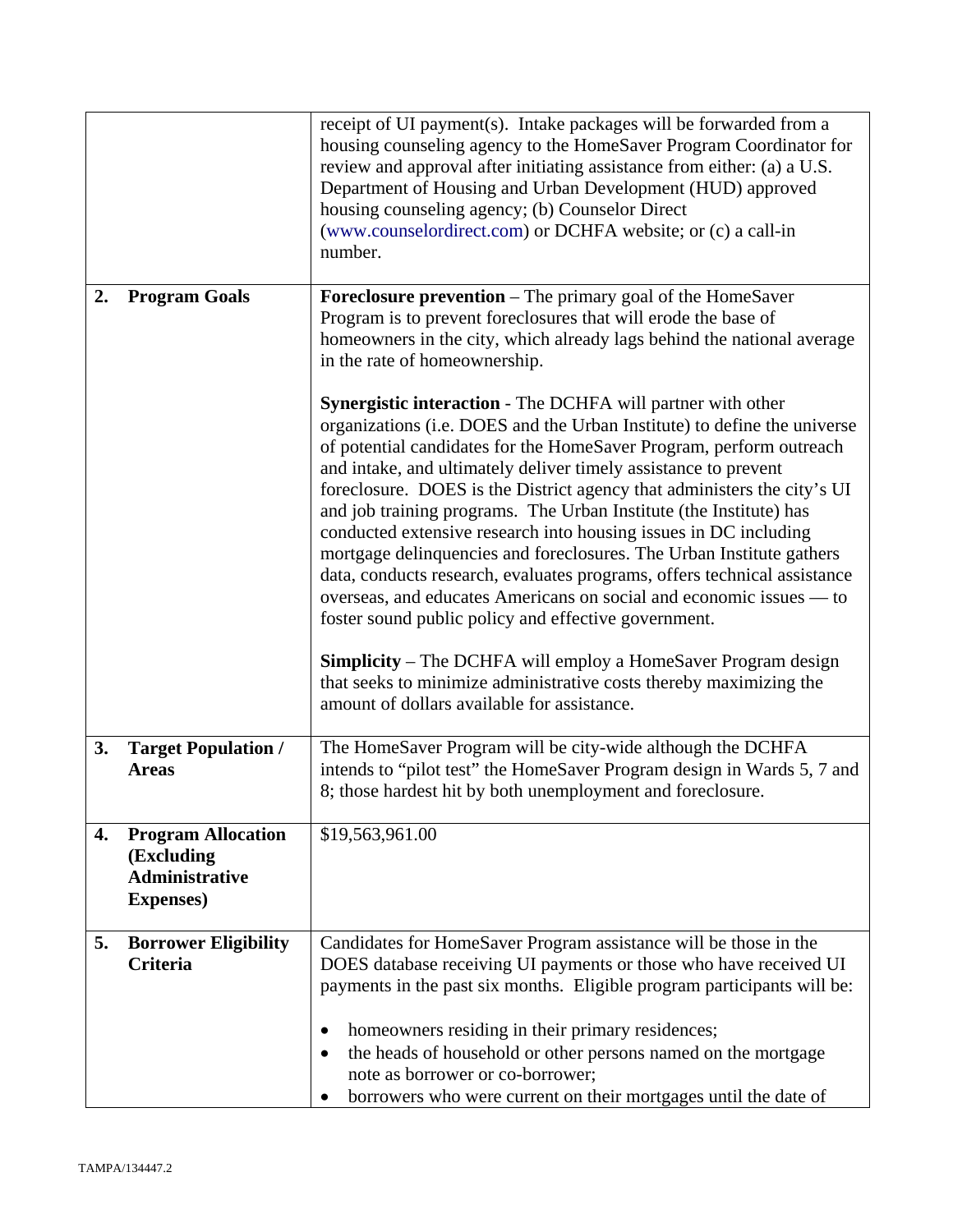|    |                                                                                       | receipt of UI payment(s). Intake packages will be forwarded from a<br>housing counseling agency to the HomeSaver Program Coordinator for<br>review and approval after initiating assistance from either: (a) a U.S.<br>Department of Housing and Urban Development (HUD) approved<br>housing counseling agency; (b) Counselor Direct<br>(www.counselordirect.com) or DCHFA website; or (c) a call-in<br>number.                                                                                                                                                                                                                                                                                                                                                                                                                                                                                                                                                                               |
|----|---------------------------------------------------------------------------------------|-----------------------------------------------------------------------------------------------------------------------------------------------------------------------------------------------------------------------------------------------------------------------------------------------------------------------------------------------------------------------------------------------------------------------------------------------------------------------------------------------------------------------------------------------------------------------------------------------------------------------------------------------------------------------------------------------------------------------------------------------------------------------------------------------------------------------------------------------------------------------------------------------------------------------------------------------------------------------------------------------|
| 2. | <b>Program Goals</b>                                                                  | Foreclosure prevention - The primary goal of the HomeSaver<br>Program is to prevent foreclosures that will erode the base of<br>homeowners in the city, which already lags behind the national average<br>in the rate of homeownership.                                                                                                                                                                                                                                                                                                                                                                                                                                                                                                                                                                                                                                                                                                                                                       |
|    |                                                                                       | <b>Synergistic interaction - The DCHFA will partner with other</b><br>organizations (i.e. DOES and the Urban Institute) to define the universe<br>of potential candidates for the HomeSaver Program, perform outreach<br>and intake, and ultimately deliver timely assistance to prevent<br>foreclosure. DOES is the District agency that administers the city's UI<br>and job training programs. The Urban Institute (the Institute) has<br>conducted extensive research into housing issues in DC including<br>mortgage delinquencies and foreclosures. The Urban Institute gathers<br>data, conducts research, evaluates programs, offers technical assistance<br>overseas, and educates Americans on social and economic issues — to<br>foster sound public policy and effective government.<br><b>Simplicity</b> – The DCHFA will employ a HomeSaver Program design<br>that seeks to minimize administrative costs thereby maximizing the<br>amount of dollars available for assistance. |
| 3. | <b>Target Population /</b><br><b>Areas</b>                                            | The HomeSaver Program will be city-wide although the DCHFA<br>intends to "pilot test" the HomeSaver Program design in Wards 5, 7 and<br>8; those hardest hit by both unemployment and foreclosure.                                                                                                                                                                                                                                                                                                                                                                                                                                                                                                                                                                                                                                                                                                                                                                                            |
| 4. | <b>Program Allocation</b><br>(Excluding<br><b>Administrative</b><br><b>Expenses</b> ) | \$19,563,961.00                                                                                                                                                                                                                                                                                                                                                                                                                                                                                                                                                                                                                                                                                                                                                                                                                                                                                                                                                                               |
| 5. | <b>Borrower Eligibility</b><br><b>Criteria</b>                                        | Candidates for HomeSaver Program assistance will be those in the<br>DOES database receiving UI payments or those who have received UI<br>payments in the past six months. Eligible program participants will be:                                                                                                                                                                                                                                                                                                                                                                                                                                                                                                                                                                                                                                                                                                                                                                              |
|    |                                                                                       | homeowners residing in their primary residences;<br>the heads of household or other persons named on the mortgage<br>note as borrower or co-borrower;<br>borrowers who were current on their mortgages until the date of                                                                                                                                                                                                                                                                                                                                                                                                                                                                                                                                                                                                                                                                                                                                                                      |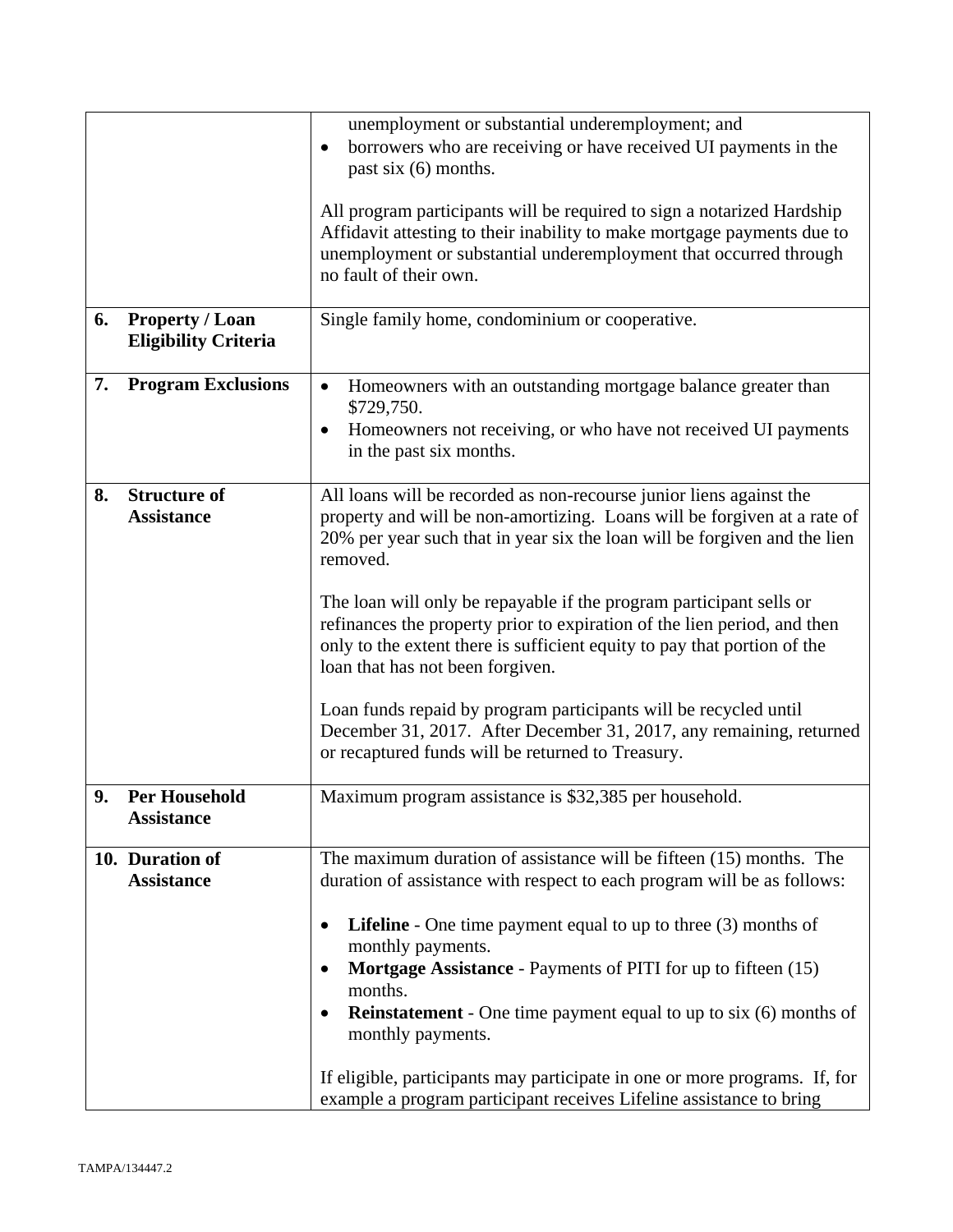|    |                                                       | unemployment or substantial underemployment; and<br>borrowers who are receiving or have received UI payments in the<br>past six (6) months.                                                                                                                                                                                                                                                                                                                                                                                                                                                                                                                                                                 |
|----|-------------------------------------------------------|-------------------------------------------------------------------------------------------------------------------------------------------------------------------------------------------------------------------------------------------------------------------------------------------------------------------------------------------------------------------------------------------------------------------------------------------------------------------------------------------------------------------------------------------------------------------------------------------------------------------------------------------------------------------------------------------------------------|
|    |                                                       | All program participants will be required to sign a notarized Hardship<br>Affidavit attesting to their inability to make mortgage payments due to<br>unemployment or substantial underemployment that occurred through<br>no fault of their own.                                                                                                                                                                                                                                                                                                                                                                                                                                                            |
| 6. | <b>Property / Loan</b><br><b>Eligibility Criteria</b> | Single family home, condominium or cooperative.                                                                                                                                                                                                                                                                                                                                                                                                                                                                                                                                                                                                                                                             |
| 7. | <b>Program Exclusions</b>                             | Homeowners with an outstanding mortgage balance greater than<br>$\bullet$<br>\$729,750.                                                                                                                                                                                                                                                                                                                                                                                                                                                                                                                                                                                                                     |
|    |                                                       | Homeowners not receiving, or who have not received UI payments<br>$\bullet$<br>in the past six months.                                                                                                                                                                                                                                                                                                                                                                                                                                                                                                                                                                                                      |
| 8. | <b>Structure of</b><br><b>Assistance</b>              | All loans will be recorded as non-recourse junior liens against the<br>property and will be non-amortizing. Loans will be forgiven at a rate of<br>20% per year such that in year six the loan will be forgiven and the lien<br>removed.<br>The loan will only be repayable if the program participant sells or<br>refinances the property prior to expiration of the lien period, and then<br>only to the extent there is sufficient equity to pay that portion of the<br>loan that has not been forgiven.<br>Loan funds repaid by program participants will be recycled until<br>December 31, 2017. After December 31, 2017, any remaining, returned<br>or recaptured funds will be returned to Treasury. |
| 9. | <b>Per Household</b><br><b>Assistance</b>             | Maximum program assistance is \$32,385 per household.                                                                                                                                                                                                                                                                                                                                                                                                                                                                                                                                                                                                                                                       |
|    | 10. Duration of<br><b>Assistance</b>                  | The maximum duration of assistance will be fifteen (15) months. The<br>duration of assistance with respect to each program will be as follows:<br><b>Lifeline</b> - One time payment equal to up to three $(3)$ months of<br>monthly payments.<br>Mortgage Assistance - Payments of PITI for up to fifteen (15)<br>months.<br><b>Reinstatement</b> - One time payment equal to up to six (6) months of<br>monthly payments.<br>If eligible, participants may participate in one or more programs. If, for                                                                                                                                                                                                   |
|    |                                                       | example a program participant receives Lifeline assistance to bring                                                                                                                                                                                                                                                                                                                                                                                                                                                                                                                                                                                                                                         |